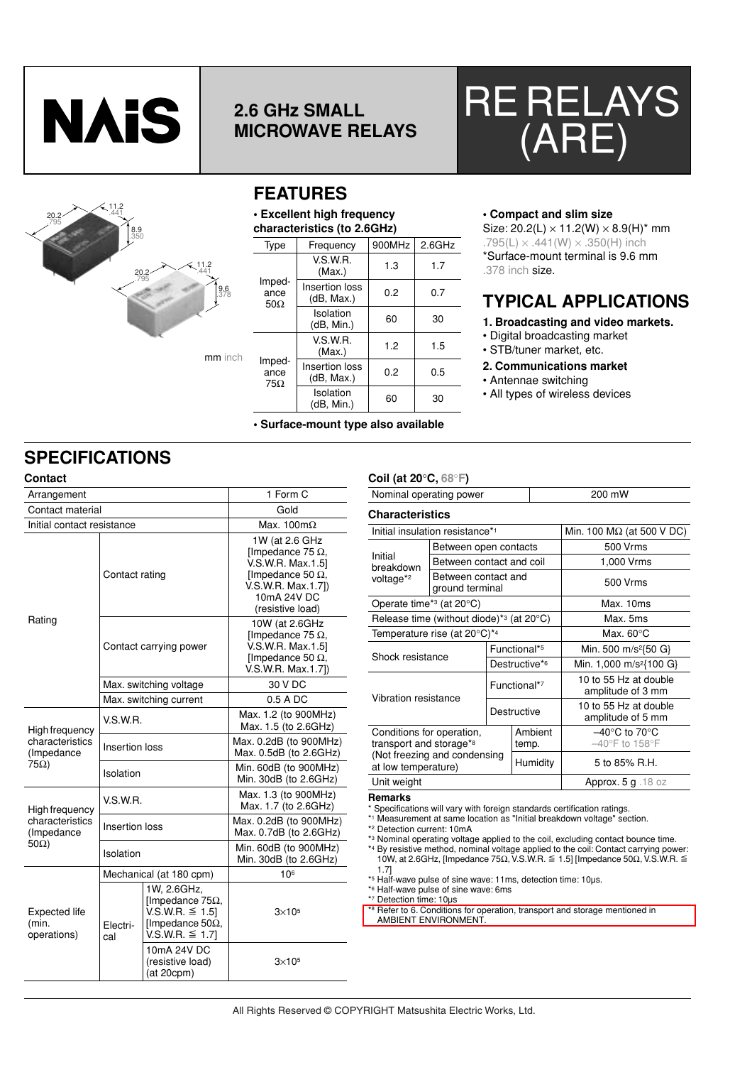

## **2.6 GHz SMALL MICROWAVE RELAYS**





### **FEATURES**

#### **• Excellent high frequency characteristics (to 2.6GHz)**

| <b>Type</b>                         | Frequency                    | 900MHz | $2.6$ GHz |  |  |  |  |
|-------------------------------------|------------------------------|--------|-----------|--|--|--|--|
| Imped-<br>ance<br>$50\Omega$        | V.S.W.R.<br>(Max.)           | 1.3    | 1.7       |  |  |  |  |
|                                     | Insertion loss<br>(dB, Max.) | 0.2    | 0.7       |  |  |  |  |
|                                     | Isolation<br>(dB, Min.)      | 60     | 30        |  |  |  |  |
| Imped-<br>ance<br>$75\Omega$        | V.S.W.R.<br>(Max.)           | 1.2    | 1.5       |  |  |  |  |
|                                     | Insertion loss<br>(dB, Max.) | 0.2    | 0.5       |  |  |  |  |
|                                     | Isolation<br>(dB, Min.)      | 60     | 30        |  |  |  |  |
| • Surface-mount type also available |                              |        |           |  |  |  |  |

### **• Compact and slim size**

Size:  $20.2(L) \times 11.2(W) \times 8.9(H)^*$  mm  $.795(L) \times .441(W) \times .350(H)$  inch \*Surface-mount terminal is 9.6 mm .378 inch size.

### **TYPICAL APPLICATIONS**

#### **1. Broadcasting and video markets.**

- Digital broadcasting market
- STB/tuner market, etc.

#### **2. Communications market**

- Antennae switching
- All types of wireless devices

## **SPECIFICATIONS**

| <b>Contact</b>                                |                 |                                                                                                           |                                                                                                                                                      | Coil (at 20°C, 68°F)                                                                                                                                  |  |  |
|-----------------------------------------------|-----------------|-----------------------------------------------------------------------------------------------------------|------------------------------------------------------------------------------------------------------------------------------------------------------|-------------------------------------------------------------------------------------------------------------------------------------------------------|--|--|
| Arrangement                                   |                 |                                                                                                           | 1 Form C                                                                                                                                             | Nominal operating por                                                                                                                                 |  |  |
| Contact material                              |                 |                                                                                                           | Gold                                                                                                                                                 | <b>Characteristics</b>                                                                                                                                |  |  |
| Initial contact resistance                    |                 |                                                                                                           | Max. 100 $m\Omega$                                                                                                                                   | Initial insulation resista                                                                                                                            |  |  |
|                                               | Contact rating  |                                                                                                           | 1W (at 2.6 GHz<br>[Impedance 75 $\Omega$ ,<br>V.S.W.R. Max.1.51<br>[Impedance 50 $\Omega$ ,<br>V.S.W.R. Max.1.7])<br>10mA 24V DC<br>(resistive load) | <b>Betweer</b><br>Initial<br><b>Betweer</b><br>breakdown<br><b>Betweer</b><br>voltage* <sup>2</sup><br>ground t<br>Operate time* <sup>3</sup> (at 20° |  |  |
| Rating                                        |                 |                                                                                                           | 10W (at 2.6GHz                                                                                                                                       | Release time (without                                                                                                                                 |  |  |
|                                               |                 |                                                                                                           | [Impedance 75 $\Omega$ ,                                                                                                                             | Temperature rise (at 2                                                                                                                                |  |  |
|                                               |                 | Contact carrying power                                                                                    | V.S.W.R. Max.1.51<br>[Impedance 50 $\Omega$ ,<br>V.S.W.R. Max.1.7])                                                                                  | Shock resistance                                                                                                                                      |  |  |
|                                               |                 | Max. switching voltage                                                                                    | 30 V DC                                                                                                                                              | Vibration resistance<br>Conditions for operatio<br>transport and storage<br>(Not freezing and con<br>at low temperature)<br>Unit weight               |  |  |
|                                               |                 | Max. switching current                                                                                    | 0.5 A DC                                                                                                                                             |                                                                                                                                                       |  |  |
| High frequency                                | V.S.W.R.        |                                                                                                           | Max. 1.2 (to 900MHz)<br>Max. 1.5 (to 2.6GHz)                                                                                                         |                                                                                                                                                       |  |  |
| characteristics<br>(Impedance                 | Insertion loss  |                                                                                                           | Max. 0.2dB (to 900MHz)<br>Max. 0.5dB (to 2.6GHz)                                                                                                     |                                                                                                                                                       |  |  |
| $75\Omega$                                    | Isolation       |                                                                                                           | Min. 60dB (to 900MHz)<br>Min. 30dB (to 2.6GHz)                                                                                                       |                                                                                                                                                       |  |  |
| <b>High frequency</b>                         | <b>V.S.W.R.</b> |                                                                                                           | Max. 1.3 (to 900MHz)<br>Max. 1.7 (to 2.6GHz)                                                                                                         | <b>Remarks</b><br>* Specifications will vary w                                                                                                        |  |  |
| characteristics<br>(Impedance<br>$50\Omega$ ) | Insertion loss  |                                                                                                           | Max. 0.2dB (to 900MHz)<br>Max. 0.7dB (to 2.6GHz)                                                                                                     | *1 Measurement at same I<br>* <sup>2</sup> Detection current: 10m/<br>* <sup>3</sup> Nominal operating volta                                          |  |  |
|                                               | Isolation       |                                                                                                           | Min. 60dB (to 900MHz)<br>Min. 30dB (to 2.6GHz)                                                                                                       | *4 By resistive method, no<br>10W, at 2.6GHz, [Imped                                                                                                  |  |  |
| Expected life<br>(min.<br>operations)         |                 | Mechanical (at 180 cpm)                                                                                   | 106                                                                                                                                                  | 1.71<br>*5 Half-wave pulse of sine                                                                                                                    |  |  |
|                                               | Electri-<br>cal | 1W, 2.6GHz,<br>[Impedance 75 $\Omega$ ,<br>V.S.W.R. ≤ 1.5]<br>[Impedance 50 $\Omega$ ,<br>V.S.W.R. ≤ 1.7] | $3\times105$                                                                                                                                         | *6 Half-wave pulse of sine<br>*7 Detection time: 10µs<br>*8 Refer to 6. Conditions fo<br><b>AMBIENT ENVIRONME</b>                                     |  |  |
|                                               |                 | 10mA 24V DC<br>(resistive load)<br>(at 20cpm)                                                             | $3\times105$                                                                                                                                         |                                                                                                                                                       |  |  |

| י ישי, ט טאַ זוט                                                 |                                                        |                                  |                                            |                                                      |  |  |  |
|------------------------------------------------------------------|--------------------------------------------------------|----------------------------------|--------------------------------------------|------------------------------------------------------|--|--|--|
| Nominal operating power                                          |                                                        | 200 mW                           |                                            |                                                      |  |  |  |
| <b>Characteristics</b>                                           |                                                        |                                  |                                            |                                                      |  |  |  |
|                                                                  | Initial insulation resistance* <sup>1</sup>            | Min. 100 $M\Omega$ (at 500 V DC) |                                            |                                                      |  |  |  |
|                                                                  | Between open contacts                                  |                                  |                                            | 500 Vrms                                             |  |  |  |
| Initial<br>breakdown                                             | Between contact and coil                               |                                  |                                            | 1,000 Vrms                                           |  |  |  |
| voltage <sup>*2</sup>                                            | Between contact and<br>ground terminal                 |                                  |                                            | 500 Vrms                                             |  |  |  |
| Operate time* <sup>3</sup> (at 20°C)                             |                                                        |                                  |                                            | Max. 10ms                                            |  |  |  |
|                                                                  | Release time (without diode)* $3$ (at 20 $^{\circ}$ C) |                                  |                                            | Max. 5ms                                             |  |  |  |
|                                                                  | Temperature rise (at 20°C)*4                           |                                  |                                            | Max. $60^{\circ}$ C                                  |  |  |  |
|                                                                  |                                                        | Functional* <sup>5</sup>         |                                            | Min. 500 m/s <sup>2</sup> {50 G}                     |  |  |  |
| Shock resistance                                                 |                                                        | Destructive*6                    |                                            | Min. 1,000 m/s <sup>2</sup> {100 G}                  |  |  |  |
| Vibration resistance                                             |                                                        | Functional*7                     |                                            | 10 to 55 Hz at double<br>amplitude of 3 mm           |  |  |  |
|                                                                  | Destructive                                            |                                  | 10 to 55 Hz at double<br>amplitude of 5 mm |                                                      |  |  |  |
| Conditions for operation,<br>transport and storage* <sup>8</sup> |                                                        |                                  | Ambient<br>temp.                           | $-40^{\circ}$ C to 70 $^{\circ}$ C<br>-40°F to 158°F |  |  |  |
| (Not freezing and condensing<br>at low temperature)              |                                                        |                                  | Humidity                                   | 5 to 85% R.H.                                        |  |  |  |
| Unit weight                                                      |                                                        |                                  |                                            | Approx. $5 g$ . 18 oz                                |  |  |  |
|                                                                  |                                                        |                                  |                                            |                                                      |  |  |  |

#### **Remarks**

\* Specifications will vary with foreign standards certification ratings.

\*1 Measurement at same location as "Initial breakdown voltage" section.

\*3 Nominal operating voltage applied to the coil, excluding contact bounce time. \*4 By resistive method, nominal voltage applied to the coil: Contact carrying power: 10W, at 2.6GHz, [Impedance 75Ω, V.S.W.R. & 1.5] [Impedance 50Ω, V.S.W.R. &

1.7]

\*5 Half-wave pulse of sine wave: 11ms, detection time: 10µs.

\*6 Half-wave pulse of sine wave: 6ms \*7 Detection time: 10µs

\*8 Refer to 6. Conditions for operation, transport and storage mentioned in AMBIENT ENVIRONMENT.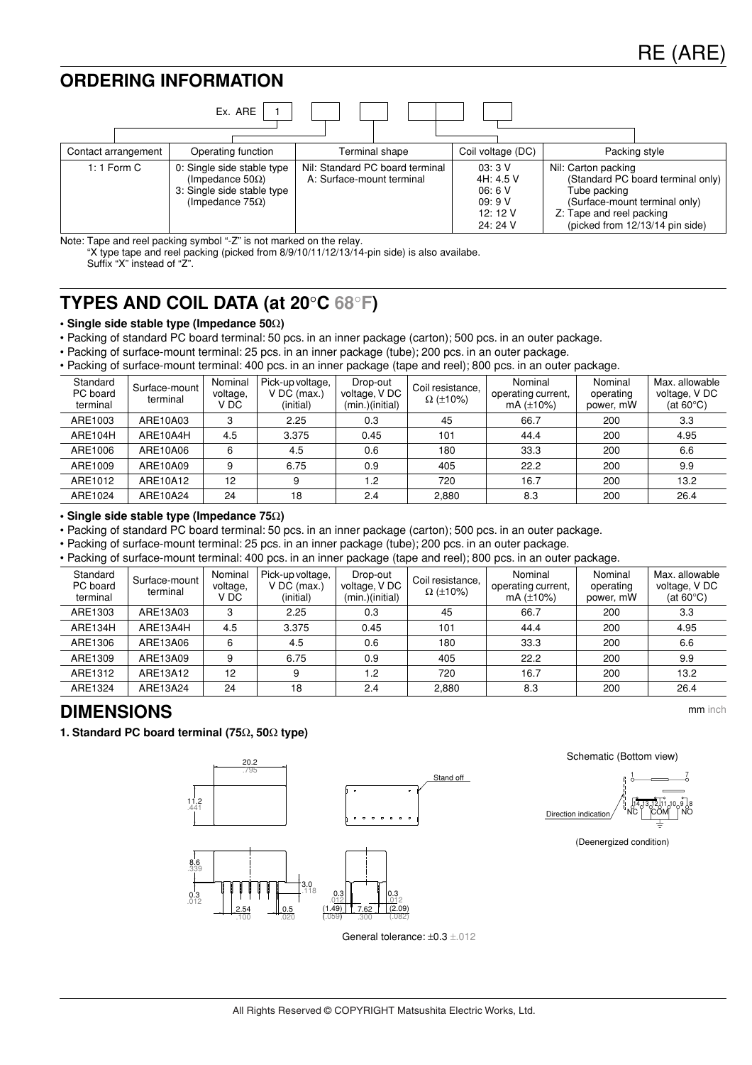### **ORDERING INFORMATION**

|                     | Ex. ARE                                                                                                         |                                                              |                                                            |                                                                                                  |                                                                      |
|---------------------|-----------------------------------------------------------------------------------------------------------------|--------------------------------------------------------------|------------------------------------------------------------|--------------------------------------------------------------------------------------------------|----------------------------------------------------------------------|
| Contact arrangement | Operating function                                                                                              | Terminal shape                                               | Coil voltage (DC)                                          | Packing style                                                                                    |                                                                      |
| 1: 1 Form $C$       | 0: Single side stable type<br>(Impedance 50 $\Omega$ )<br>3: Single side stable type<br>(Impedance $75\Omega$ ) | Nil: Standard PC board terminal<br>A: Surface-mount terminal | 03:3V<br>4H: 4.5 V<br>06:6V<br>09:9V<br>12:12V<br>24: 24 V | Nil: Carton packing<br>Tube packing<br>(Surface-mount terminal only)<br>Z: Tape and reel packing | (Standard PC board terminal only)<br>(picked from 12/13/14 pin side) |

Note: Tape and reel packing symbol "-Z" is not marked on the relay.

"X type tape and reel packing (picked from 8/9/10/11/12/13/14-pin side) is also availabe. Suffix "X" instead of "Z".

### **TYPES AND COIL DATA (at 20**°**C 68**°**F)**

### **• Single side stable type (Impedance 50**Ω**)**

• Packing of standard PC board terminal: 50 pcs. in an inner package (carton); 500 pcs. in an outer package.

• Packing of surface-mount terminal: 25 pcs. in an inner package (tube); 200 pcs. in an outer package.

• Packing of surface-mount terminal: 400 pcs. in an inner package (tape and reel); 800 pcs. in an outer package.

| Standard<br>PC board<br>terminal | Surface-mount<br>terminal | Nominal<br>voltage,<br>V DC | Pick-up voltage,<br>$V$ DC (max.)<br>(initial) | Drop-out<br>voltage, VDC<br>(min.)(initial) | Coil resistance,<br>$\Omega$ (±10%) | Nominal<br>operating current,<br>mA $(\pm 10\%)$ | Nominal<br>operating<br>power, mW | Max. allowable<br>voltage, V DC<br>(at $60^{\circ}$ C) |
|----------------------------------|---------------------------|-----------------------------|------------------------------------------------|---------------------------------------------|-------------------------------------|--------------------------------------------------|-----------------------------------|--------------------------------------------------------|
| ARE1003                          | ARE10A03                  | 3                           | 2.25                                           | 0.3                                         | 45                                  | 66.7                                             | 200                               | 3.3                                                    |
| ARE104H                          | ARE10A4H                  | 4.5                         | 3.375                                          | 0.45                                        | 101                                 | 44.4                                             | 200                               | 4.95                                                   |
| ARE1006                          | ARE10A06                  | 6                           | 4.5                                            | 0.6                                         | 180                                 | 33.3                                             | 200                               | 6.6                                                    |
| ARE1009                          | ARE10A09                  | 9                           | 6.75                                           | 0.9                                         | 405                                 | 22.2                                             | 200                               | 9.9                                                    |
| ARE1012                          | ARE10A12                  | 12                          | 9                                              | 1.2                                         | 720                                 | 16.7                                             | 200                               | 13.2                                                   |
| ARE1024                          | ARE10A24                  | 24                          | 18                                             | 2.4                                         | 2.880                               | 8.3                                              | 200                               | 26.4                                                   |

**• Single side stable type (Impedance 75**Ω**)**

• Packing of standard PC board terminal: 50 pcs. in an inner package (carton); 500 pcs. in an outer package.

• Packing of surface-mount terminal: 25 pcs. in an inner package (tube); 200 pcs. in an outer package.

• Packing of surface-mount terminal: 400 pcs. in an inner package (tape and reel); 800 pcs. in an outer package.

| Standard<br>PC board<br>terminal | Surface-mount<br>terminal | Nominal<br>voltage,<br>V DC | Pick-up voltage,<br>$V$ DC (max.)<br>(initial) | Drop-out<br>voltage, V DC<br>(min.)(initial) | Coil resistance,<br>$\Omega$ (±10%) | Nominal<br>operating current,<br>mA $(\pm 10\%)$ | Nominal<br>operating<br>power, mW | Max. allowable<br>voltage, V DC<br>(at $60^{\circ}$ C) |
|----------------------------------|---------------------------|-----------------------------|------------------------------------------------|----------------------------------------------|-------------------------------------|--------------------------------------------------|-----------------------------------|--------------------------------------------------------|
| ARE1303                          | ARE13A03                  | 3                           | 2.25                                           | 0.3                                          | 45                                  | 66.7                                             | 200                               | 3.3                                                    |
| ARE134H                          | ARE13A4H                  | 4.5                         | 3.375                                          | 0.45                                         | 101                                 | 44.4                                             | 200                               | 4.95                                                   |
| ARE1306                          | ARE13A06                  | 6                           | 4.5                                            | 0.6                                          | 180                                 | 33.3                                             | 200                               | 6.6                                                    |
| ARE1309                          | ARE13A09                  | 9                           | 6.75                                           | 0.9                                          | 405                                 | 22.2                                             | 200                               | 9.9                                                    |
| ARE1312                          | ARE13A12                  | 12                          | 9                                              | 1.2                                          | 720                                 | 16.7                                             | 200                               | 13.2                                                   |
| ARE1324                          | ARE13A24                  | 24                          | 18                                             | 2.4                                          | 2,880                               | 8.3                                              | 200                               | 26.4                                                   |

### **DIMENSIONS**

**1. Standard PC board terminal (75**Ω**, 50**Ω **type)**



Schematic (Bottom view)

mm inch



(Deenergized condition)

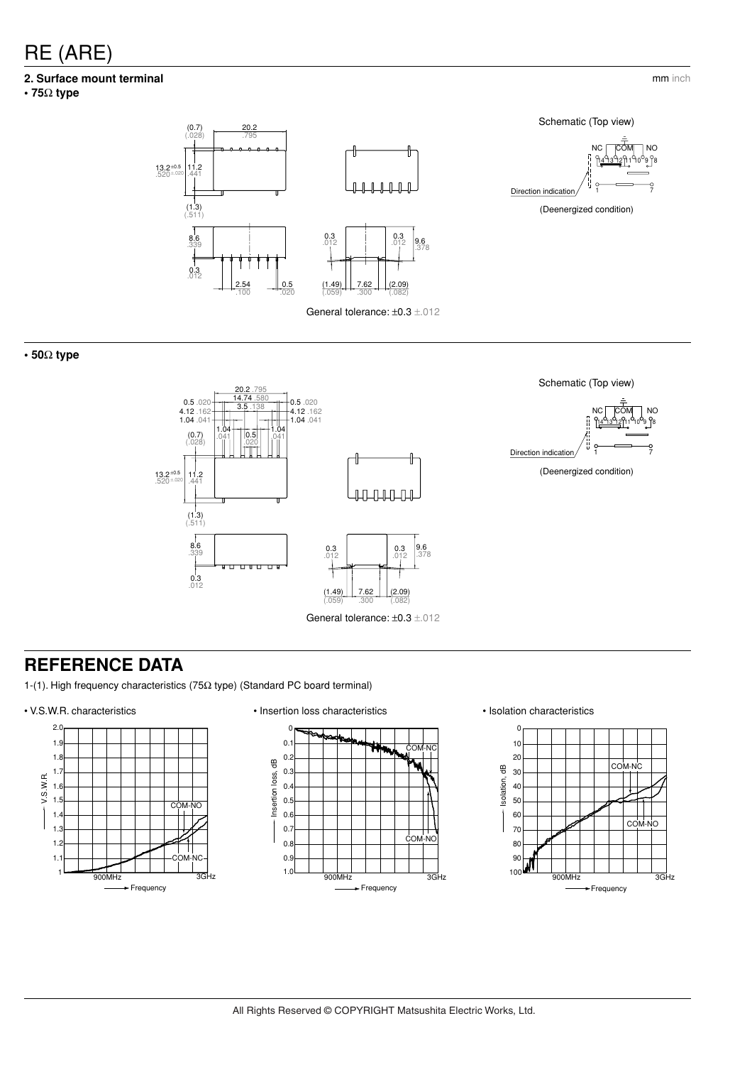# RE (ARE)

### **2. Surface mount terminal**

**• 75**Ω **type**





**• 50**Ω **type**



### **REFERENCE DATA**

1-(1). High frequency characteristics (75Ω type) (Standard PC board terminal)